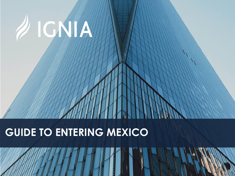# **GUIDE TO ENTERING MEXICO**

2 IGNJA

1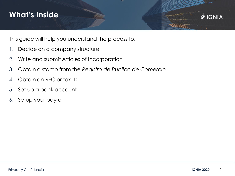#### **What's Inside**



This guide will help you understand the process to:

- 1. Decide on a company structure
- 2. Write and submit Articles of Incorporation
- 3. Obtain a stamp from the *Registro de Público de Comercio*
- 4. Obtain an RFC or tax ID
- 5. Set up a bank account
- 6. Setup your payroll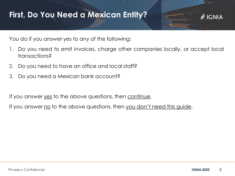#### **First, Do You Need a Mexican Entity?**



You do if you answer yes to any of the following:

- 1. Do you need to emit invoices, charge other companies locally, or accept local transactions?
- 2. Do you need to have an office and local staff?
- 3. Do you need a Mexican bank account?

If you answer <u>yes</u> to the above questions, then continue.

If you answer no to the above questions, then you don't need this guide.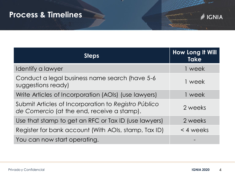#### **Process & Timelines**



| <b>Steps</b>                                                                                       | <b>How Long It Will</b><br><b>Take</b> |
|----------------------------------------------------------------------------------------------------|----------------------------------------|
| Identify a lawyer                                                                                  | 1 week                                 |
| Conduct a legal business name search (have 5-6<br>suggestions ready)                               | 1 week                                 |
| Write Articles of Incorporation (AOIs) (use lawyers)                                               | 1 week                                 |
| Submit Articles of Incorporation to Registro Público<br>de Comercio (at the end, receive a stamp). | 2 weeks                                |
| Use that stamp to get an RFC or Tax ID (use lawyers)                                               | 2 weeks                                |
| Register for bank account (With AOIs, stamp, Tax ID)                                               | $<$ 4 weeks                            |
| You can now start operating.                                                                       |                                        |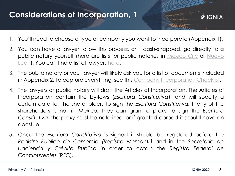#### **Considerations of Incorporation, 1**

- **IGNIA**
- 1. You'll need to choose a type of company you want to incorporate (Appendix 1).
- 2. You can have a lawyer follow this process, or if cash-strapped, go directly to a public notary yourself (here are lists for public notaries in *[Mexico](https://www.mundonotarial.com.mx/DF/distrito_federal.html) City* or Nuevo Leon). You can find a list of [lawyers](http://sgi.nl.gob.mx/Transparencia_2009/Archivos/SGG_1105_0001_20140731_VU00_000043.pdf) [here](http://www.igniaunlocked.mx/community/vendors/).
- 3. The public notary or your lawyer will likely ask you for a list of documents included in Appendix 2. To capture everything, see this Company [Incorporation](https://igniaunlocked.mx/wp-content/uploads/2020/05/2020-IGNIA-Company-Incorporation-Checklist.-doc.doc) Checklist.
- 4. The lawyers or public notary will draft the Articles of Incorporation. The Articles of Incorporation contain the by-laws (*Escritura Constitutiva*), and will specify a certain date for the shareholders to sign the *Escritura Constitutiva.* If any of the shareholders is not in Mexico, they can grant a proxy to sign the *Escritura Constitutiva,* the proxy must be notarized, or if granted abroad it should have an apostille.
- 5. Once the *Escritura Constitutiva* is signed it should be registered before the *Registro Publico de Comercio (Registro Mercantil)* and in the *Secretaría de Hacienda y Crédito Público* in order to obtain the *Registro Federal de Contribuyentes* (RFC).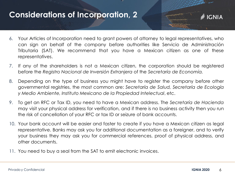#### **Considerations of Incorporation, 2**

- 6. Your Articles of Incorporation need to grant powers of attorney to legal representatives, who can sign on behalf of the company before authorities like Servicio de Administración Tributaria (SAT). We recommend that you have a Mexican citizen as one of these representatives.
- 7. If any of the shareholders is not a Mexican citizen, the corporation should be registered before the *Registro Nacional de Inversión Extranjera* of the *Secretaría de Economía.*
- 8. Depending on the type of business you might have to register the company before other governmental registries, the most common are: *Secretaría de Salud, Secretaría de Ecología y Medio Ambiente, Instituto Mexicano de la Propiedad Intelectual*, etc.
- 9. To get an RFC or Tax ID, you need to have a Mexican address. The *Secretaría de Hacienda* may visit your physical address for verification, and if there is no business activity then you run the risk of cancellation of your RFC or tax ID or seizure of bank accounts.
- 10. Your bank account will be easier and faster to create if you have a Mexican citizen as legal representative. Banks may ask you for additional documentation as a foreigner, and to verify your business they may ask you for commercial references, proof of physical address, and other documents.
- 11. You need to buy a seal from the SAT to emit electronic invoices.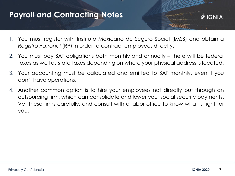#### **Payroll and Contracting Notes**

- 1. You must register with Instituto Mexicano de Seguro Social (IMSS) and obtain a *Registro Patronal* (RP) in order to contract employees directly.
- 2. You must pay SAT obligations both monthly and annually there will be federal taxes as well as state taxes depending on where your physical address is located.
- 3. Your accounting must be calculated and emitted to SAT monthly, even if you don't have operations.
- 4. Another common option is to hire your employees not directly but through an outsourcing firm, which can consolidate and lower your social security payments. Vet these firms carefully, and consult with a labor office to know what is right for you.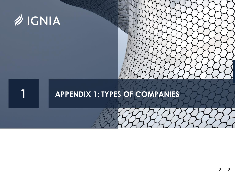

### **APPENDIX 1: TYPES OF COMPANIES**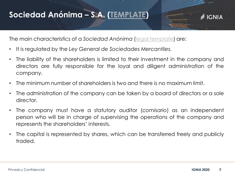#### **Sociedad Anónima – S.A. [\(TEMPLATE\)](https://igniaunlocked.mx/wp-content/uploads/2020/05/2020-ESTATUTOS-SOCIALES-S.A.-de-C.V.doc)**



The main characteristics of a *Sociedad Anónima* (legal [template](https://igniaunlocked.mx/wp-content/uploads/2020/05/2020-ESTATUTOS-SOCIALES-S.A.-de-C.V.doc)) are:

- It is regulated by the *Ley General de Sociedades Mercantiles.*
- The liability of the shareholders is limited to their investment in the company and directors are fully responsible for the loyal and diligent administration of the company.
- The minimum number of shareholders is two and there is no maximum limit.
- The administration of the company can be taken by a board of directors or a sole director.
- The company must have a statutory auditor (*comisario*) as an independent person who will be in charge of supervising the operations of the company and represents the shareholders' interests.
- The capital is represented by shares, which can be transferred freely and publicly traded.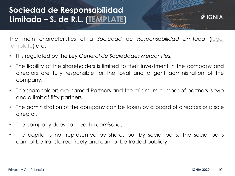#### **Sociedad de Responsabilidad Limitada – S. de R.L. ([TEMPLATE\)](https://igniaunlocked.mx/wp-content/uploads/2020/05/2020-Estatutos-S.-de-R.L-de-C.V.doc)**



- It is regulated by the *Ley General de Sociedades Mercantiles.*
- The liability of the shareholders is limited to their investment in the company and directors are fully responsible for the loyal and diligent administration of the company.
- The shareholders are named Partners and the minimum number of partners is two and a limit of fifty partners.
- The administration of the company can be taken by a board of directors or a sole director.
- The company does not need a *comisario*.
- The capital is not represented by shares but by social parts. The social parts cannot be transferred freely and cannot be traded publicly.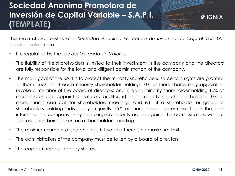# **Sociedad Anonima Promotora de Inversión de Capital Variable – S.A.P.I. [\(TEMPLATE\)](https://igniaunlocked.mx/wp-content/uploads/2020/05/2020-ESTATUTOS-SAPI-formato.doc)**



The main characteristics of a *Sociedad Anonima Promotora de Inversion de Capital Variable* legal [template](https://igniaunlocked.mx/wp-content/uploads/2020/05/2020-ESTATUTOS-SAPI-formato.doc)) are:

- It is regulated by the *Ley del Mercado de Valores.*
- The liability of the shareholders is limited to their investment in the company and the directors are fully responsible for the loyal and diligent administration of the company.
- The main goal of the SAPI is to protect the minority shareholders, so certain rights are granted to them, such as: i) each minority shareholder holding 10% or more shares may appoint or revoke a member of the board of directors; and ii) each minority shareholder holding 10% or more shares can appoint a statutory auditor; iii) each minority shareholder holding 10% or more shares can call for shareholders meetings; and iv) if a shareholder or group of shareholders holding individually or jointly 15% or more shares, determine it is in the best interest of the company, they can bring civil liability action against the administrators, without the resolution being taken on a shareholders meeting.
- The minimum number of shareholders is two and there is no maximum limit.
- The administration of the company must be taken by a board of directors.
- The capital is represented by shares.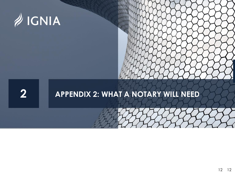

# **APPENDIX 2: WHAT A NOTARY WILL NEED**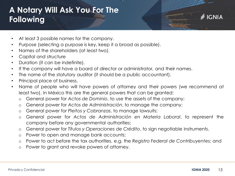# **A Notary Will Ask You For The Following**

- At least 3 possible names for the company.
- Purpose (selecting a purpose is key, keep it a broad as possible).
- Names of the shareholders (at least two).
- Capital and structure
- Duration (it can be indefinite).
- If the company will have a board of director or administrator, and their names.
- The name of the statutory auditor (it should be a public accountant).
- Principal place of business.
- Name of people who will have powers of attorney and their powers (we recommend at least two). In México this are the general powers that can be granted:
	- o General power for *Actos de Dominio*, to use the assets of the company;
	- o General power for *Actos de Administración*, to manage the company;
	- o General power for *Pleitos y Cobranzas*, to manage lawsuits;
	- o General power for *Actos de Administración en Materia Laboral*, to represent the company before any governmental authorities;
	- o General power for *Títulos y Operaciones de Crédito*, to sign negotiable instruments.
	- o Power to open and manage bank accounts;
	- o Power to act before the tax authorities, e.g. the *Registro Federal de Contribuyentes*; and
	- o Power to grant and revoke powers of attorney.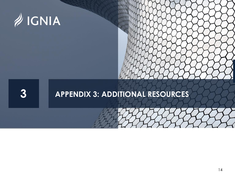

# **APPENDIX 3: ADDITIONAL RESOURCES**